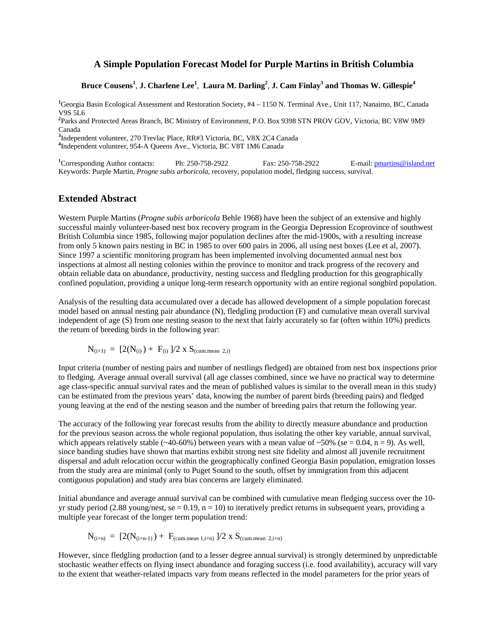## **A Simple Population Forecast Model for Purple Martins in British Columbia**

Bruce Cousens<sup>1</sup>, **J.** Charlene Lee<sup>1</sup>, Laura M. Darling<sup>2</sup>, **J.** Cam Finlay<sup>3</sup> and Thomas W. Gillespie<sup>4</sup>

**1** Georgia Basin Ecological Assessment and Restoration Society, #4 – 1150 N. Terminal Ave., Unit 117, Nanaimo, BC, Canada V9S 5L6

**2** Parks and Protected Areas Branch, BC Ministry of Environment, P.O. Box 9398 STN PROV GOV, Victoria, BC V8W 9M9 Canada

<sup>3</sup>Independent volunteer, 270 Trevlac Place, RR#3 Victoria, BC, V8X 2C4 Canada **4**<br><sup>4</sup>Independent volunteer, 054, A Queens Ave, Victoria, BC V8T 1M6 Canada

<sup>4</sup>Independent volunteer, 954-A Queens Ave., Victoria, BC V8T 1M6 Canada

<sup>1</sup>Corresponding Author contacts: Ph: 250-758-2922 Fax: 250-758-2922 E-mail: **pmartins@island.net** Keywords: Purple Martin, *Progne subis arboricola*, recovery, population model, fledging success, survival.

## **Extended Abstract**

Western Purple Martins (*Progne subis arboricola* Behle 1968) have been the subject of an extensive and highly successful mainly volunteer-based nest box recovery program in the Georgia Depression Ecoprovince of southwest British Columbia since 1985, following major population declines after the mid-1900s, with a resulting increase from only 5 known pairs nesting in BC in 1985 to over 600 pairs in 2006, all using nest boxes (Lee et al, 2007). Since 1997 a scientific monitoring program has been implemented involving documented annual nest box inspections at almost all nesting colonies within the province to monitor and track progress of the recovery and obtain reliable data on abundance, productivity, nesting success and fledgling production for this geographically confined population, providing a unique long-term research opportunity with an entire regional songbird population.

Analysis of the resulting data accumulated over a decade has allowed development of a simple population forecast model based on annual nesting pair abundance (N), fledgling production (F) and cumulative mean overall survival independent of age (S) from one nesting season to the next that fairly accurately so far (often within 10%) predicts the return of breeding birds in the following year:

$$
N_{(i+1)} = [2(N_{(i)}) + F_{(i)}]/2 \times S_{(cum. mean 2, i)}
$$

Input criteria (number of nesting pairs and number of nestlings fledged) are obtained from nest box inspections prior to fledging. Average annual overall survival (all age classes combined, since we have no practical way to determine age class-specific annual survival rates and the mean of published values is similar to the overall mean in this study) can be estimated from the previous years' data, knowing the number of parent birds (breeding pairs) and fledged young leaving at the end of the nesting season and the number of breeding pairs that return the following year.

The accuracy of the following year forecast results from the ability to directly measure abundance and production for the previous season across the whole regional population, thus isolating the other key variable, annual survival, which appears relatively stable (~40-60%) between years with a mean value of ~50% (se = 0.04, n = 9). As well, since banding studies have shown that martins exhibit strong nest site fidelity and almost all juvenile recruitment dispersal and adult relocation occur within the geographically confined Georgia Basin population, emigration losses from the study area are minimal (only to Puget Sound to the south, offset by immigration from this adjacent contiguous population) and study area bias concerns are largely eliminated.

Initial abundance and average annual survival can be combined with cumulative mean fledging success over the 10 yr study period (2.88 young/nest, se = 0.19,  $n = 10$ ) to iteratively predict returns in subsequent years, providing a multiple year forecast of the longer term population trend:

$$
N_{(i+n)} = [2(N_{(i+n-1)}) + F_{(cum. mean 1, i+n)}]/2 \times S_{(cum. mean 2, i+n)}
$$

However, since fledgling production (and to a lesser degree annual survival) is strongly determined by unpredictable stochastic weather effects on flying insect abundance and foraging success (i.e. food availability), accuracy will vary to the extent that weather-related impacts vary from means reflected in the model parameters for the prior years of